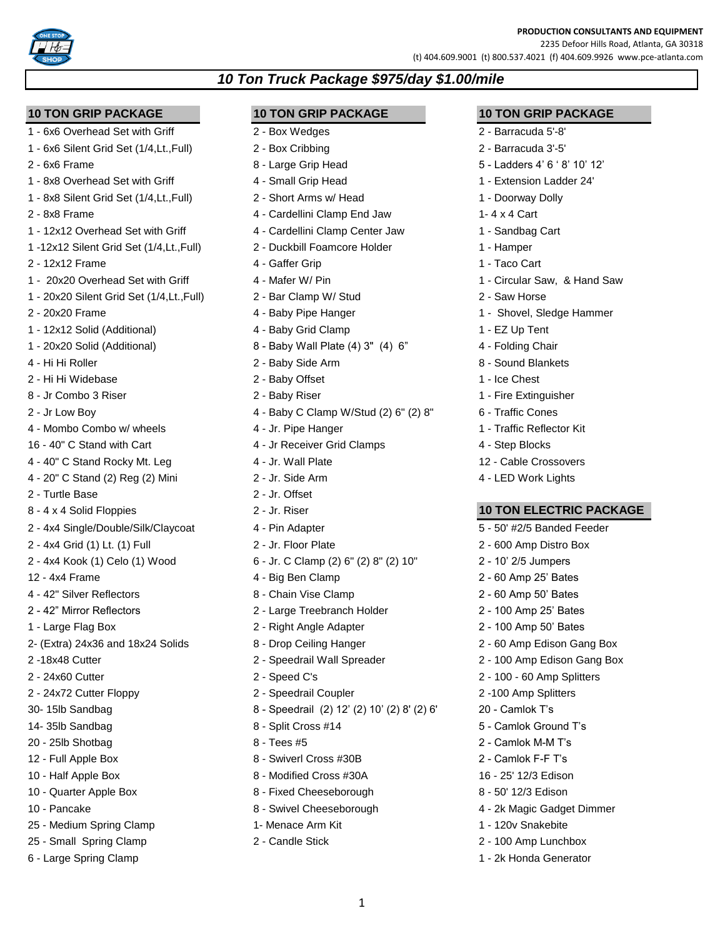### **PRODUCTION CONSULTANTS AND EQUIPMENT**

2235 Defoor Hills Road, Atlanta, GA 30318 (t) 404.609.9001 (t) 800.537.4021 (f) 404.609.9926 www.pce-atlanta.com

- 
- 
- 
- 1 8x8 Overhead Set with Griff 4 Small Grip Head 1 Extension Ladder 24'
- 1 8x8 Silent Grid Set (1/4,Lt.,Full) 2 Short Arms w/ Head 1 Doorway Dolly
- 
- 1 12x12 Overhead Set with Griff 4 Cardellini Clamp Center Jaw 1 Sandbag Cart
- 1 -12x12 Silent Grid Set (1/4,Lt.,Full) 2 Duckbill Foamcore Holder 1 Hamper
- 2 12x12 Frame 4 Gaffer Grip 1 Taco Cart
- 1 20x20 Overhead Set with Griff 4 Mafer W/ Pin 1 Circular Saw, & Hand Saw
- 1 20x20 Silent Grid Set (1/4,Lt.,Full) 2 Bar Clamp W/ Stud 2 Saw Horse
- 
- 1 12x12 Solid (Additional) 4 Baby Grid Clamp 1 12x12 Solid (Additional)
- 
- 4 Hi Hi Roller 2 Baby Side Arm 8 Sound Blankets
- 2 Hi Hi Widebase 2 Baby Offset 1 Ice Chest
- 8 Jr Combo 3 Riser 2 Baby Riser 2 Baby Riser 1 Fire Extinguisher
- 
- 4 Mombo Combo w/ wheels 4 Jr. Pipe Hanger 1 Traffic Reflector Kit
- 16 40" C Stand with Cart **4 10 August 2006** 4 Jr Receiver Grid Clamps 4 Step Blocks
- 4 40" C Stand Rocky Mt. Leg 12 Stand Rocky Mt. Leg 12 Cable Crossovers
- 4 20" C Stand (2) Reg (2) Mini 2 Jr. Side Arm 4 LED Work Lights
- 2 Turtle Base 2 Jr. Offset
- 8 4 x 4 Solid Floppies 2 Jr. Riser **10 TON ELECTRIC PACKAGE**
- 2 4x4 Single/Double/Silk/Claycoat 4 Pin Adapter 4 12 5 50' #2/5 Banded Feeder
- 2 4x4 Grid (1) Lt. (1) Full 2 Jr. Floor Plate 2 600 Amp Distro Box
- 2 4x4 Kook (1) Celo (1) Wood 6 Jr. C Clamp (2) 6" (2) 8" (2) 10" 2 10' 2/5 Jumpers
- 12 4x4 Frame 25' Bates 20 4x4 Frame 25' Bates 2 60 Amp 25' Bates
- 4 42" Silver Reflectors 8 Chain Vise Clamp 2 60 Amp 50' Bates
- 
- 
- 2- (Extra) 24x36 and 18x24 Solids 8 Drop Ceiling Hanger 2 60 Amp Edison Gang Box
- 
- 2 24x60 Cutter 2 Speed C's 2 100 60 Amp Splitters
- 
- 
- 
- 20 25lb Shotbag 8 Tees #5 2 Camlok M-M T's
- 
- 
- 
- 
- 25 Medium Spring Clamp 1- Menace Arm Kit 1 120v Snakebite
- 25 Small Spring Clamp 2 Candle Stick 2 2 2 100 Amp Lunchbox
- 6 Large Spring Clamp 1 2k Honda Generator

**10 TON GRIP PACKAGE 10 TON GRIP PACKAGE 10 TON GRIP PACKAGE**

*10 Ton Truck Package \$975/day \$1.00/mile*

- 
- 
- 
- 
- 
- 2 8x8 Frame 1.4 x 4 Cartellini Clamp End Jaw 1-4 x 4 Cart
	-
	-
	-
	-
	-
- 2 20x20 Frame **1 20x20 Frame** 1 Shovel, Sledge Hammer
	-
- 1 20x20 Solid (Additional) 8 Baby Wall Plate (4) 3" (4) 6" 4 Folding Chair
	-
	-
	-
- 2 Jr Low Boy 4 Baby C Clamp W/Stud (2) 6" (2) 8" 6 Traffic Cones
	-
	-
	-
	-
	-
	-
	-
	-
	-
	-
	-
- 2 42" Mirror Reflectors 2 Large Treebranch Holder 2 100 Amp 25' Bates
- 1 Large Flag Box 2 Right Angle Adapter 2 100 Amp 50' Bates
	-
- 2 -18x48 Cutter 2 Speedrail Wall Spreader 2 100 Amp Edison Gang Box
	-
- 2 24x72 Cutter Floppy 2 Speedrail Coupler 2 -100 Amp Splitters
- 30- 15lb Sandbag 8 Speedrail (2) 12' (2) 10' (2) 8' (2) 6' 20 Camlok T's

1

- 14- 35lb Sandbag 8 Split Cross #14 5 Camlok Ground T's
	-
- 12 Full Apple Box 8 Swiverl Cross #30B 2 Camlok F-F T's
- 10 Half Apple Box 8 Modified Cross #30A 16 25' 12/3 Edison
- 10 Quarter Apple Box 8 Fixed Cheeseborough 8 50' 12/3 Edison
- 10 Pancake **8 Swivel Cheeseborough 10 2k Magic Gadget Dimmer** 
	-
	-

- 1 6x6 Overhead Set with Griff 2 Box Wedges 2 Barracuda 5'-8'
- 1 6x6 Silent Grid Set (1/4,Lt.,Full) 2 Box Cribbing 2 Barracuda 3'-5'
- 2 6x6 Frame 8 Large Grip Head 5 Ladders 4' 6 ' 8' 10' 12'
	-
	-